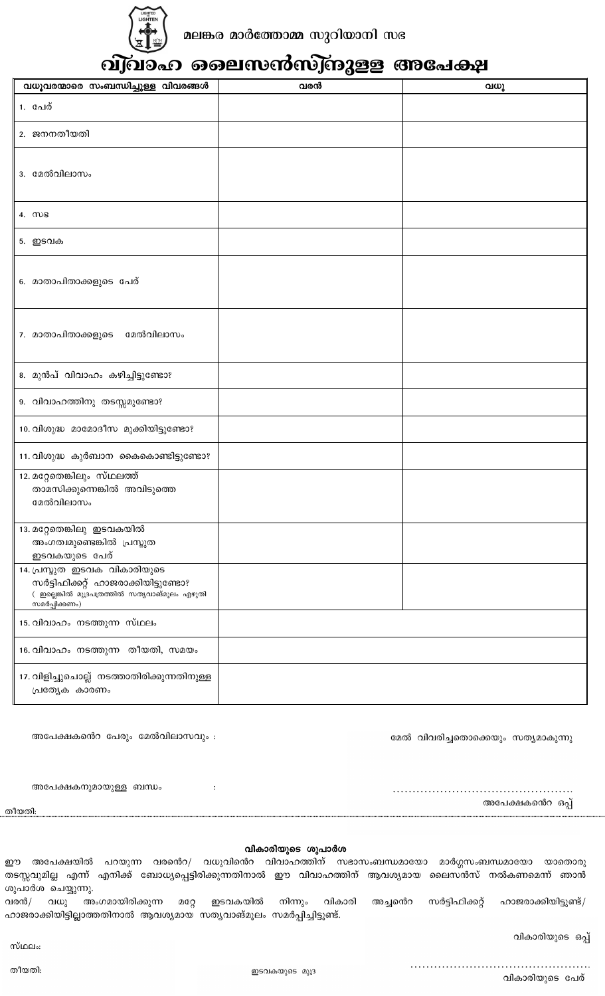

## <u>ബ</u>്ഹെ ലൈസൻസ്ബുള്ള അപേക്ഷ  $\overline{0}$

| വധൂവരന്മാരെ സംബന്ധിച്ചുള്ള വിവരങ്ങൾ                                                                                                    | വരൻ | വധു |
|----------------------------------------------------------------------------------------------------------------------------------------|-----|-----|
| 1. പേര്                                                                                                                                |     |     |
| 2. ജനനതീയതി                                                                                                                            |     |     |
| 3. മേൽവിലാസം                                                                                                                           |     |     |
| 4. MB                                                                                                                                  |     |     |
| 5. ഇടവക                                                                                                                                |     |     |
| 6. മാതാപിതാക്കളുടെ പേര്                                                                                                                |     |     |
| 7. മാതാപിതാക്കളുടെ<br>മേൽവിലാസം                                                                                                        |     |     |
| 8. മുൻപ് വിവാഹം കഴിച്ചിട്ടുണ്ടോ?                                                                                                       |     |     |
| 9. വിവാഹത്തിനു തടസ്സമുണ്ടോ?                                                                                                            |     |     |
| 10. വിശുദ്ധ മാമോദീസ മുക്കിയിട്ടുണ്ടോ?                                                                                                  |     |     |
| 11. വിശുദ്ധ കുർബാന കൈകൊണ്ടിട്ടുണ്ടോ?                                                                                                   |     |     |
| 12. മറ്റേതെങ്കിലും സ്ഥലത്ത്<br>താമസിക്കുന്നെങ്കിൽ അവിടുത്തെ<br>മേൽവിലാസം                                                               |     |     |
| 13. മറ്റേതെങ്കിലു ഇടവകയിൽ<br>അംഗത്വമുണ്ടെങ്കിൽ പ്രസ്തുത<br>ഇടവകയുടെ പേര്                                                               |     |     |
| 14. പ്രസ്തുത ഇടവക വികാരിയുടെ<br>സർട്ടിഫിക്കറ്റ് ഹാജരാക്കിയിട്ടുണ്ടോ?<br>( ഇല്ലെങ്കിൽ മുദ്രപത്രത്തിൽ സതൃവാങ്മൂലം എഴുതി<br>സമർപ്പിക്കണം) |     |     |
| 15. വിവാഹം നടത്തുന്ന സ്ഥലം                                                                                                             |     |     |
| 16. വിവാഹം നടത്തുന്ന തീയതി, സമയം                                                                                                       |     |     |
| 17. വിളിച്ചുചൊല്ല് നടത്താതിരിക്കുന്നതിനുള്ള<br>പ്രത്യേക കാരണം                                                                          |     |     |

അപേക്ഷകൻെറ പേരും മേൽവിലാസവും :

മേൽ വിവരിച്ചതൊക്കെയും സത്യമാകുന്നു

അപേക്ഷകനുമായുള്ള ബന്ധം

അപേക്ഷകൻെറ ഒപ്പ്

തീയതി:

## വികാരിയുടെ ശുപാർശ

 $\ddot{\cdot}$ 

ഈ അപേക്ഷയിൽ പറയുന്ന വരൻെറ/ വധുവിൻെറ വിവാഹത്തിന് സഭാസംബന്ധമായോ മാർഗ്ഗസംബന്ധമായോ യാതൊരു തടസ്സവുമില്ല എന്ന് എനിക്ക് ബോധ്യപ്പെട്ടിരിക്കുന്നതിനാൽ ഈ വിവാഹത്തിന് ആവശ്യമായ ലൈസൻസ് നൽകണമെന്ന് ഞാൻ ശുപാർശ ചെയ്യുന്നു.

വരൻ/ വധു അംഗമായിരിക്കുന്ന മറ്റേ ഇടവകയിൽ നിന്നും വികാരി അച്ചൻെറ സർട്ടിഫിക്കറ്റ് ഹാജരാക്കിയിട്ടുണ്ട്/ ഹാജരാക്കിയിട്ടില്ലാത്തതിനാൽ ആവശ്യമായ സത്യവാങ്മൂലം സമർപ്പിച്ചിട്ടൂണ്ട്.

വികാരിയുടെ ഒപ്പ്

സ്ഥലം:

തീയതി:

വികാരിയുടെ പേര്